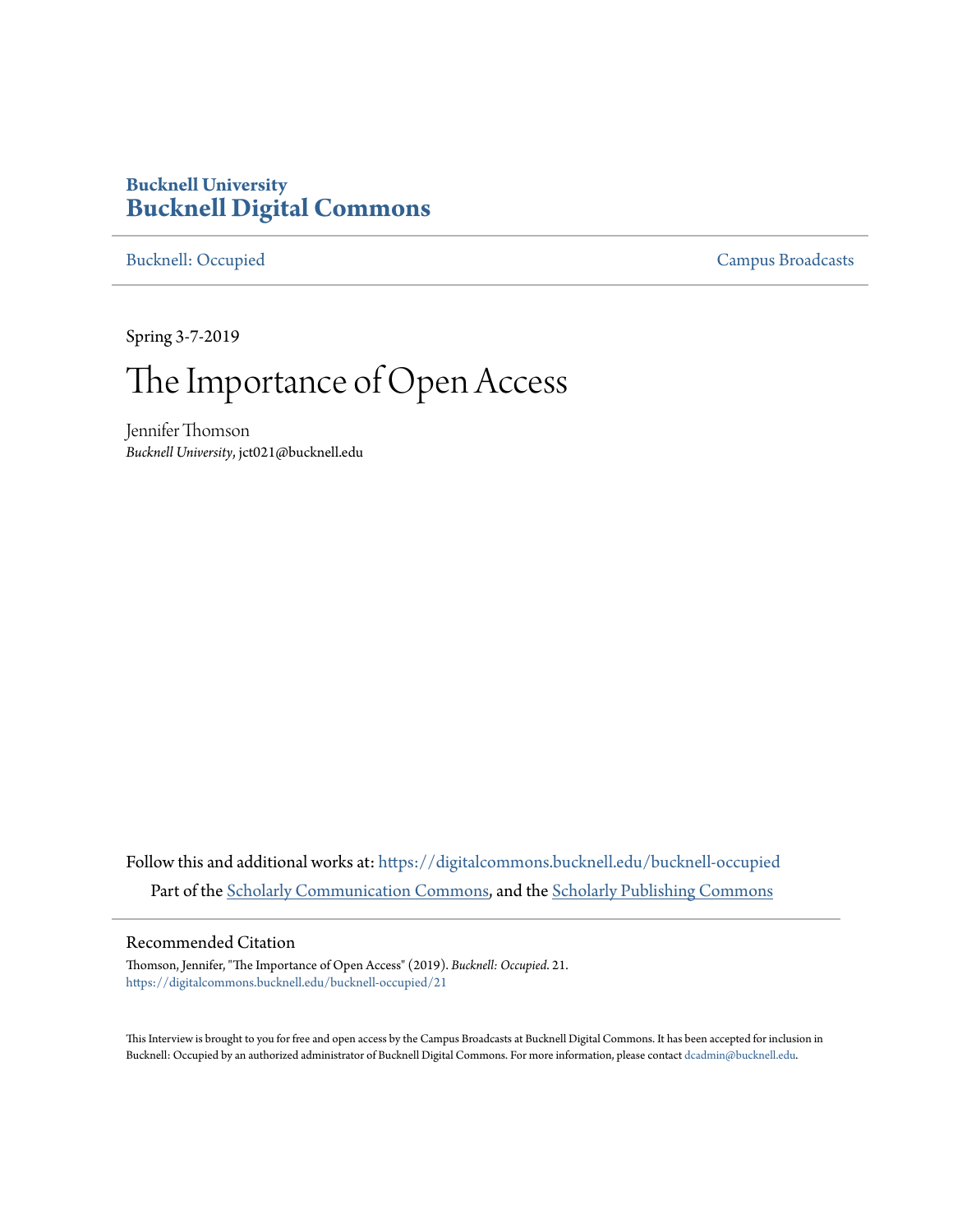## **Bucknell University [Bucknell Digital Commons](https://digitalcommons.bucknell.edu?utm_source=digitalcommons.bucknell.edu%2Fbucknell-occupied%2F21&utm_medium=PDF&utm_campaign=PDFCoverPages)**

[Bucknell: Occupied](https://digitalcommons.bucknell.edu/bucknell-occupied?utm_source=digitalcommons.bucknell.edu%2Fbucknell-occupied%2F21&utm_medium=PDF&utm_campaign=PDFCoverPages) [Campus Broadcasts](https://digitalcommons.bucknell.edu/campus-broadcasts?utm_source=digitalcommons.bucknell.edu%2Fbucknell-occupied%2F21&utm_medium=PDF&utm_campaign=PDFCoverPages)

Spring 3-7-2019

## The Importance of Open Access

Jennifer Thomson *Bucknell University*, jct021@bucknell.edu

Follow this and additional works at: [https://digitalcommons.bucknell.edu/bucknell-occupied](https://digitalcommons.bucknell.edu/bucknell-occupied?utm_source=digitalcommons.bucknell.edu%2Fbucknell-occupied%2F21&utm_medium=PDF&utm_campaign=PDFCoverPages) Part of the [Scholarly Communication Commons](http://network.bepress.com/hgg/discipline/1272?utm_source=digitalcommons.bucknell.edu%2Fbucknell-occupied%2F21&utm_medium=PDF&utm_campaign=PDFCoverPages), and the [Scholarly Publishing Commons](http://network.bepress.com/hgg/discipline/1273?utm_source=digitalcommons.bucknell.edu%2Fbucknell-occupied%2F21&utm_medium=PDF&utm_campaign=PDFCoverPages)

## Recommended Citation

Thomson, Jennifer, "The Importance of Open Access" (2019). *Bucknell: Occupied*. 21. [https://digitalcommons.bucknell.edu/bucknell-occupied/21](https://digitalcommons.bucknell.edu/bucknell-occupied/21?utm_source=digitalcommons.bucknell.edu%2Fbucknell-occupied%2F21&utm_medium=PDF&utm_campaign=PDFCoverPages)

This Interview is brought to you for free and open access by the Campus Broadcasts at Bucknell Digital Commons. It has been accepted for inclusion in Bucknell: Occupied by an authorized administrator of Bucknell Digital Commons. For more information, please contact [dcadmin@bucknell.edu](mailto:dcadmin@bucknell.edu).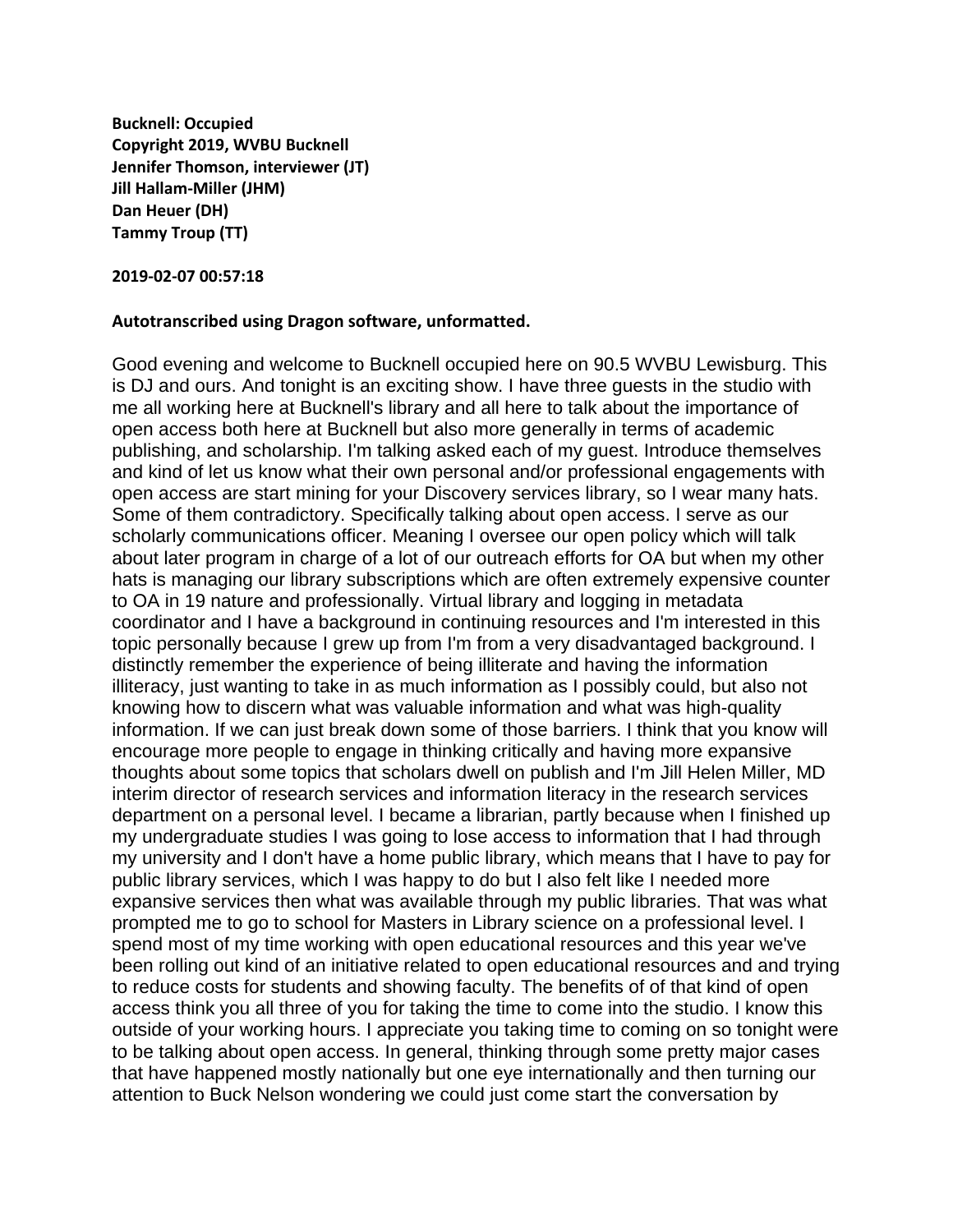**Bucknell: Occupied Copyright 2019, WVBU Bucknell Jennifer Thomson, interviewer (JT) Jill Hallam-Miller (JHM) Dan Heuer (DH) Tammy Troup (TT)**

**2019-02-07 00:57:18**

## **Autotranscribed using Dragon software, unformatted.**

Good evening and welcome to Bucknell occupied here on 90.5 WVBU Lewisburg. This is DJ and ours. And tonight is an exciting show. I have three guests in the studio with me all working here at Bucknell's library and all here to talk about the importance of open access both here at Bucknell but also more generally in terms of academic publishing, and scholarship. I'm talking asked each of my guest. Introduce themselves and kind of let us know what their own personal and/or professional engagements with open access are start mining for your Discovery services library, so I wear many hats. Some of them contradictory. Specifically talking about open access. I serve as our scholarly communications officer. Meaning I oversee our open policy which will talk about later program in charge of a lot of our outreach efforts for OA but when my other hats is managing our library subscriptions which are often extremely expensive counter to OA in 19 nature and professionally. Virtual library and logging in metadata coordinator and I have a background in continuing resources and I'm interested in this topic personally because I grew up from I'm from a very disadvantaged background. I distinctly remember the experience of being illiterate and having the information illiteracy, just wanting to take in as much information as I possibly could, but also not knowing how to discern what was valuable information and what was high-quality information. If we can just break down some of those barriers. I think that you know will encourage more people to engage in thinking critically and having more expansive thoughts about some topics that scholars dwell on publish and I'm Jill Helen Miller, MD interim director of research services and information literacy in the research services department on a personal level. I became a librarian, partly because when I finished up my undergraduate studies I was going to lose access to information that I had through my university and I don't have a home public library, which means that I have to pay for public library services, which I was happy to do but I also felt like I needed more expansive services then what was available through my public libraries. That was what prompted me to go to school for Masters in Library science on a professional level. I spend most of my time working with open educational resources and this year we've been rolling out kind of an initiative related to open educational resources and and trying to reduce costs for students and showing faculty. The benefits of of that kind of open access think you all three of you for taking the time to come into the studio. I know this outside of your working hours. I appreciate you taking time to coming on so tonight were to be talking about open access. In general, thinking through some pretty major cases that have happened mostly nationally but one eye internationally and then turning our attention to Buck Nelson wondering we could just come start the conversation by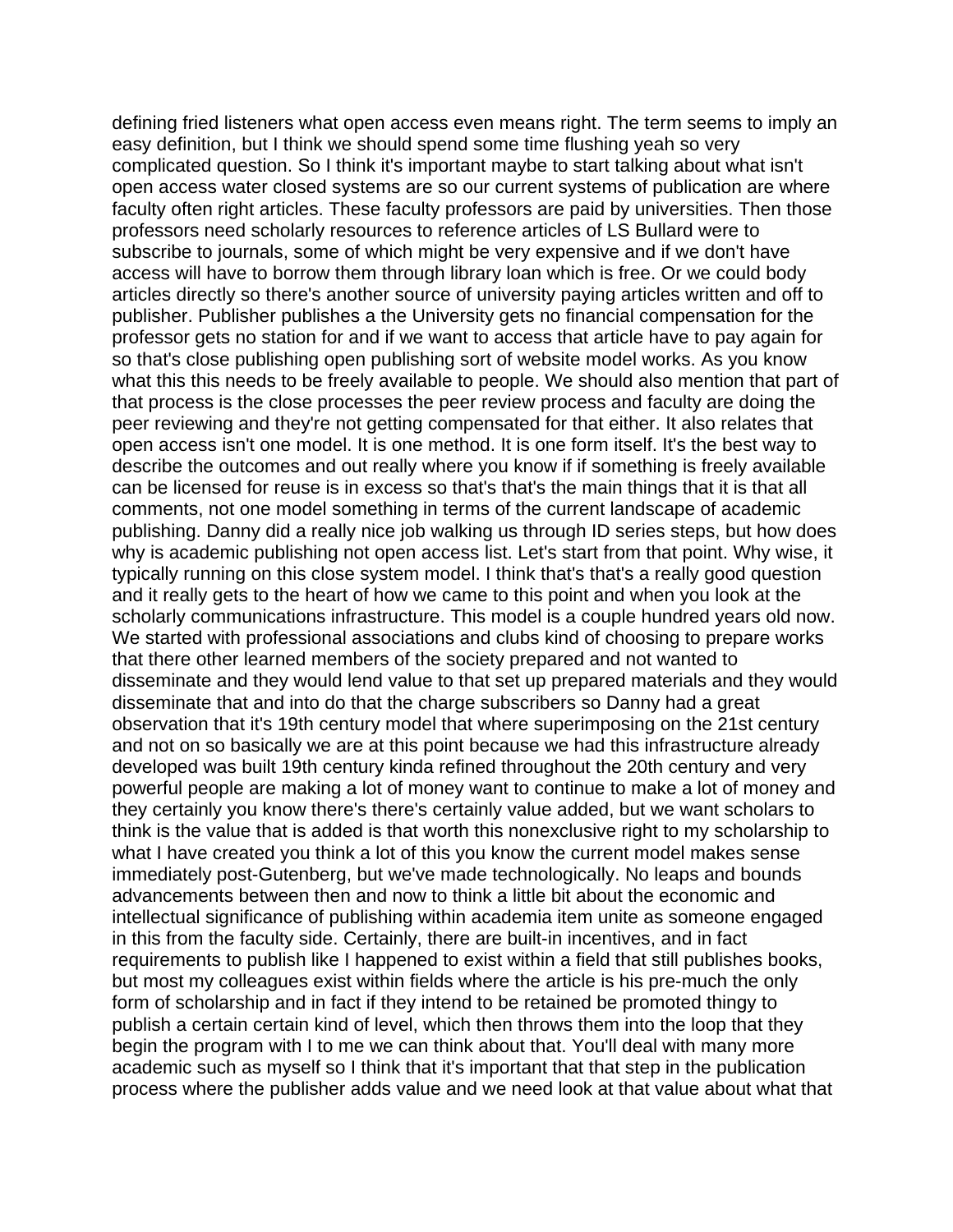defining fried listeners what open access even means right. The term seems to imply an easy definition, but I think we should spend some time flushing yeah so very complicated question. So I think it's important maybe to start talking about what isn't open access water closed systems are so our current systems of publication are where faculty often right articles. These faculty professors are paid by universities. Then those professors need scholarly resources to reference articles of LS Bullard were to subscribe to journals, some of which might be very expensive and if we don't have access will have to borrow them through library loan which is free. Or we could body articles directly so there's another source of university paying articles written and off to publisher. Publisher publishes a the University gets no financial compensation for the professor gets no station for and if we want to access that article have to pay again for so that's close publishing open publishing sort of website model works. As you know what this this needs to be freely available to people. We should also mention that part of that process is the close processes the peer review process and faculty are doing the peer reviewing and they're not getting compensated for that either. It also relates that open access isn't one model. It is one method. It is one form itself. It's the best way to describe the outcomes and out really where you know if if something is freely available can be licensed for reuse is in excess so that's that's the main things that it is that all comments, not one model something in terms of the current landscape of academic publishing. Danny did a really nice job walking us through ID series steps, but how does why is academic publishing not open access list. Let's start from that point. Why wise, it typically running on this close system model. I think that's that's a really good question and it really gets to the heart of how we came to this point and when you look at the scholarly communications infrastructure. This model is a couple hundred years old now. We started with professional associations and clubs kind of choosing to prepare works that there other learned members of the society prepared and not wanted to disseminate and they would lend value to that set up prepared materials and they would disseminate that and into do that the charge subscribers so Danny had a great observation that it's 19th century model that where superimposing on the 21st century and not on so basically we are at this point because we had this infrastructure already developed was built 19th century kinda refined throughout the 20th century and very powerful people are making a lot of money want to continue to make a lot of money and they certainly you know there's there's certainly value added, but we want scholars to think is the value that is added is that worth this nonexclusive right to my scholarship to what I have created you think a lot of this you know the current model makes sense immediately post-Gutenberg, but we've made technologically. No leaps and bounds advancements between then and now to think a little bit about the economic and intellectual significance of publishing within academia item unite as someone engaged in this from the faculty side. Certainly, there are built-in incentives, and in fact requirements to publish like I happened to exist within a field that still publishes books, but most my colleagues exist within fields where the article is his pre-much the only form of scholarship and in fact if they intend to be retained be promoted thingy to publish a certain certain kind of level, which then throws them into the loop that they begin the program with I to me we can think about that. You'll deal with many more academic such as myself so I think that it's important that that step in the publication process where the publisher adds value and we need look at that value about what that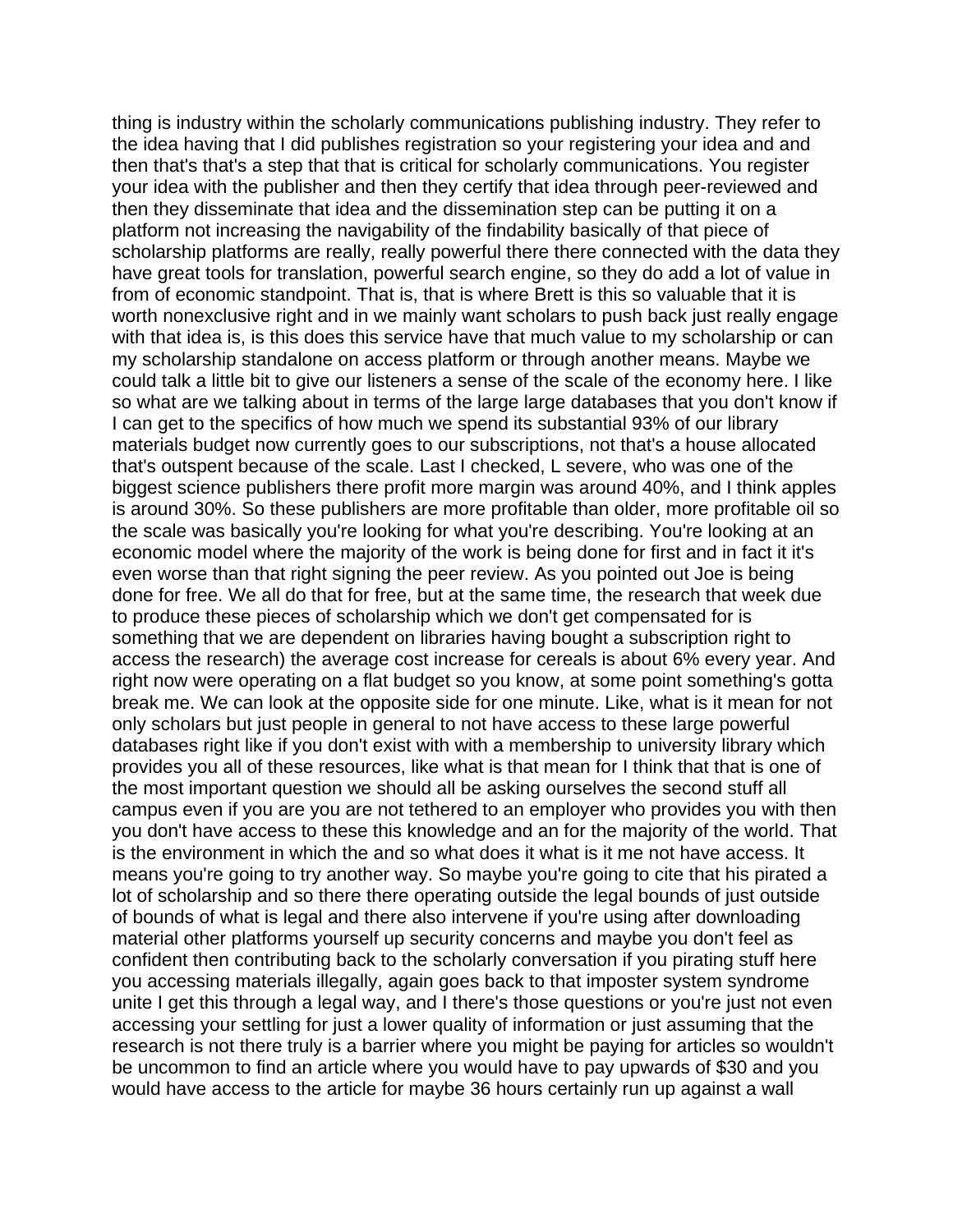thing is industry within the scholarly communications publishing industry. They refer to the idea having that I did publishes registration so your registering your idea and and then that's that's a step that that is critical for scholarly communications. You register your idea with the publisher and then they certify that idea through peer-reviewed and then they disseminate that idea and the dissemination step can be putting it on a platform not increasing the navigability of the findability basically of that piece of scholarship platforms are really, really powerful there there connected with the data they have great tools for translation, powerful search engine, so they do add a lot of value in from of economic standpoint. That is, that is where Brett is this so valuable that it is worth nonexclusive right and in we mainly want scholars to push back just really engage with that idea is, is this does this service have that much value to my scholarship or can my scholarship standalone on access platform or through another means. Maybe we could talk a little bit to give our listeners a sense of the scale of the economy here. I like so what are we talking about in terms of the large large databases that you don't know if I can get to the specifics of how much we spend its substantial 93% of our library materials budget now currently goes to our subscriptions, not that's a house allocated that's outspent because of the scale. Last I checked, L severe, who was one of the biggest science publishers there profit more margin was around 40%, and I think apples is around 30%. So these publishers are more profitable than older, more profitable oil so the scale was basically you're looking for what you're describing. You're looking at an economic model where the majority of the work is being done for first and in fact it it's even worse than that right signing the peer review. As you pointed out Joe is being done for free. We all do that for free, but at the same time, the research that week due to produce these pieces of scholarship which we don't get compensated for is something that we are dependent on libraries having bought a subscription right to access the research) the average cost increase for cereals is about 6% every year. And right now were operating on a flat budget so you know, at some point something's gotta break me. We can look at the opposite side for one minute. Like, what is it mean for not only scholars but just people in general to not have access to these large powerful databases right like if you don't exist with with a membership to university library which provides you all of these resources, like what is that mean for I think that that is one of the most important question we should all be asking ourselves the second stuff all campus even if you are you are not tethered to an employer who provides you with then you don't have access to these this knowledge and an for the majority of the world. That is the environment in which the and so what does it what is it me not have access. It means you're going to try another way. So maybe you're going to cite that his pirated a lot of scholarship and so there there operating outside the legal bounds of just outside of bounds of what is legal and there also intervene if you're using after downloading material other platforms yourself up security concerns and maybe you don't feel as confident then contributing back to the scholarly conversation if you pirating stuff here you accessing materials illegally, again goes back to that imposter system syndrome unite I get this through a legal way, and I there's those questions or you're just not even accessing your settling for just a lower quality of information or just assuming that the research is not there truly is a barrier where you might be paying for articles so wouldn't be uncommon to find an article where you would have to pay upwards of \$30 and you would have access to the article for maybe 36 hours certainly run up against a wall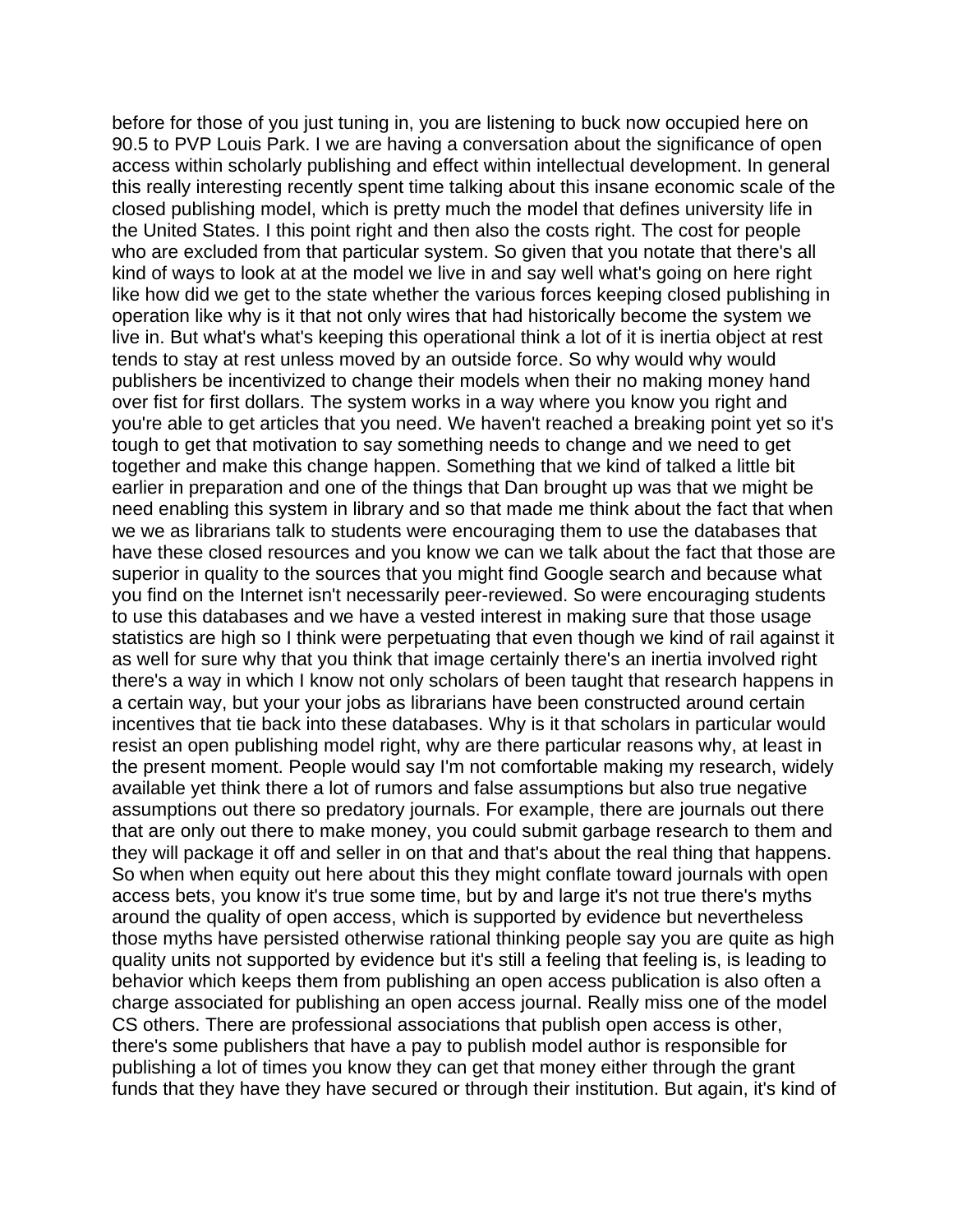before for those of you just tuning in, you are listening to buck now occupied here on 90.5 to PVP Louis Park. I we are having a conversation about the significance of open access within scholarly publishing and effect within intellectual development. In general this really interesting recently spent time talking about this insane economic scale of the closed publishing model, which is pretty much the model that defines university life in the United States. I this point right and then also the costs right. The cost for people who are excluded from that particular system. So given that you notate that there's all kind of ways to look at at the model we live in and say well what's going on here right like how did we get to the state whether the various forces keeping closed publishing in operation like why is it that not only wires that had historically become the system we live in. But what's what's keeping this operational think a lot of it is inertia object at rest tends to stay at rest unless moved by an outside force. So why would why would publishers be incentivized to change their models when their no making money hand over fist for first dollars. The system works in a way where you know you right and you're able to get articles that you need. We haven't reached a breaking point yet so it's tough to get that motivation to say something needs to change and we need to get together and make this change happen. Something that we kind of talked a little bit earlier in preparation and one of the things that Dan brought up was that we might be need enabling this system in library and so that made me think about the fact that when we we as librarians talk to students were encouraging them to use the databases that have these closed resources and you know we can we talk about the fact that those are superior in quality to the sources that you might find Google search and because what you find on the Internet isn't necessarily peer-reviewed. So were encouraging students to use this databases and we have a vested interest in making sure that those usage statistics are high so I think were perpetuating that even though we kind of rail against it as well for sure why that you think that image certainly there's an inertia involved right there's a way in which I know not only scholars of been taught that research happens in a certain way, but your your jobs as librarians have been constructed around certain incentives that tie back into these databases. Why is it that scholars in particular would resist an open publishing model right, why are there particular reasons why, at least in the present moment. People would say I'm not comfortable making my research, widely available yet think there a lot of rumors and false assumptions but also true negative assumptions out there so predatory journals. For example, there are journals out there that are only out there to make money, you could submit garbage research to them and they will package it off and seller in on that and that's about the real thing that happens. So when when equity out here about this they might conflate toward journals with open access bets, you know it's true some time, but by and large it's not true there's myths around the quality of open access, which is supported by evidence but nevertheless those myths have persisted otherwise rational thinking people say you are quite as high quality units not supported by evidence but it's still a feeling that feeling is, is leading to behavior which keeps them from publishing an open access publication is also often a charge associated for publishing an open access journal. Really miss one of the model CS others. There are professional associations that publish open access is other, there's some publishers that have a pay to publish model author is responsible for publishing a lot of times you know they can get that money either through the grant funds that they have they have secured or through their institution. But again, it's kind of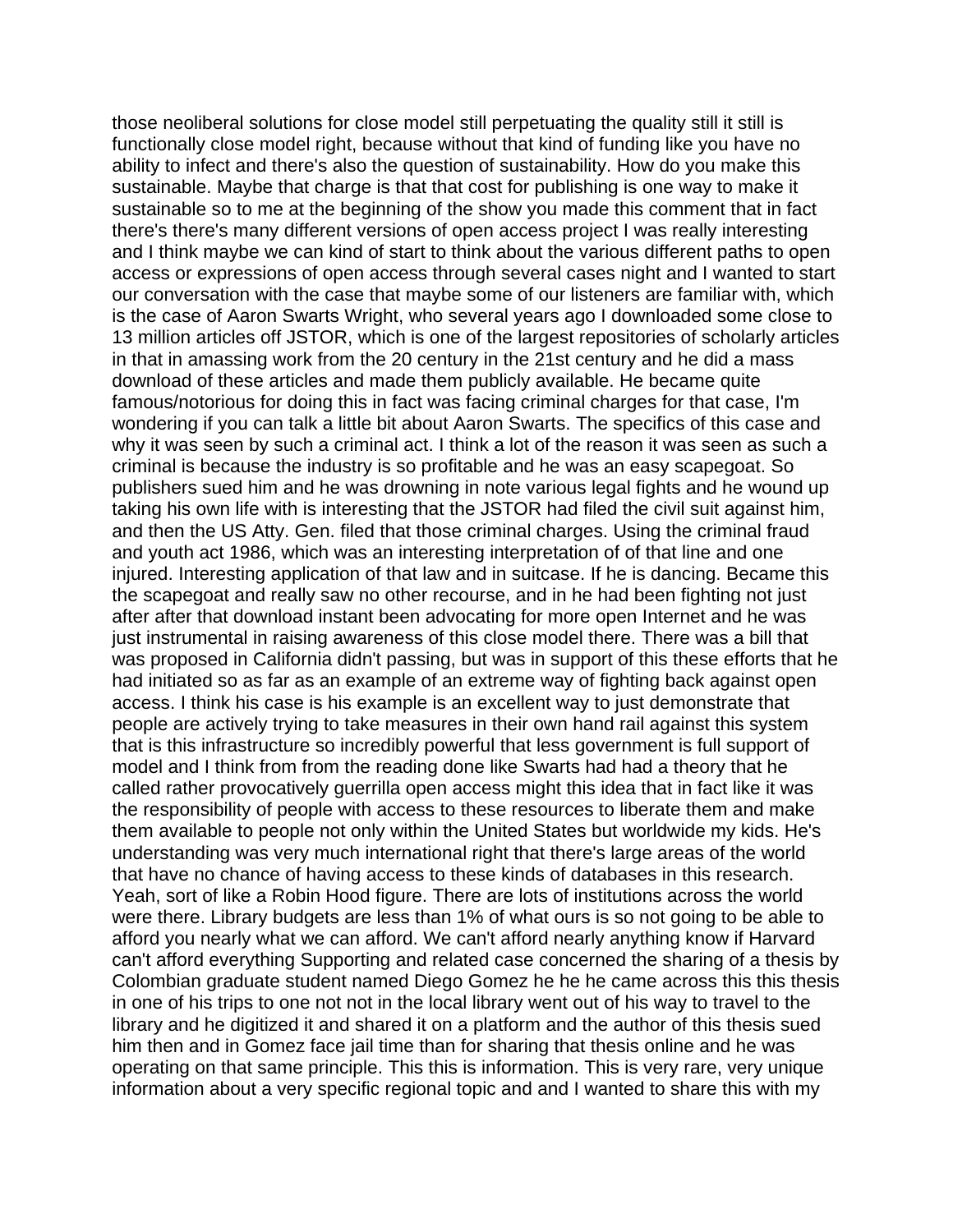those neoliberal solutions for close model still perpetuating the quality still it still is functionally close model right, because without that kind of funding like you have no ability to infect and there's also the question of sustainability. How do you make this sustainable. Maybe that charge is that that cost for publishing is one way to make it sustainable so to me at the beginning of the show you made this comment that in fact there's there's many different versions of open access project I was really interesting and I think maybe we can kind of start to think about the various different paths to open access or expressions of open access through several cases night and I wanted to start our conversation with the case that maybe some of our listeners are familiar with, which is the case of Aaron Swarts Wright, who several years ago I downloaded some close to 13 million articles off JSTOR, which is one of the largest repositories of scholarly articles in that in amassing work from the 20 century in the 21st century and he did a mass download of these articles and made them publicly available. He became quite famous/notorious for doing this in fact was facing criminal charges for that case, I'm wondering if you can talk a little bit about Aaron Swarts. The specifics of this case and why it was seen by such a criminal act. I think a lot of the reason it was seen as such a criminal is because the industry is so profitable and he was an easy scapegoat. So publishers sued him and he was drowning in note various legal fights and he wound up taking his own life with is interesting that the JSTOR had filed the civil suit against him, and then the US Atty. Gen. filed that those criminal charges. Using the criminal fraud and youth act 1986, which was an interesting interpretation of of that line and one injured. Interesting application of that law and in suitcase. If he is dancing. Became this the scapegoat and really saw no other recourse, and in he had been fighting not just after after that download instant been advocating for more open Internet and he was just instrumental in raising awareness of this close model there. There was a bill that was proposed in California didn't passing, but was in support of this these efforts that he had initiated so as far as an example of an extreme way of fighting back against open access. I think his case is his example is an excellent way to just demonstrate that people are actively trying to take measures in their own hand rail against this system that is this infrastructure so incredibly powerful that less government is full support of model and I think from from the reading done like Swarts had had a theory that he called rather provocatively guerrilla open access might this idea that in fact like it was the responsibility of people with access to these resources to liberate them and make them available to people not only within the United States but worldwide my kids. He's understanding was very much international right that there's large areas of the world that have no chance of having access to these kinds of databases in this research. Yeah, sort of like a Robin Hood figure. There are lots of institutions across the world were there. Library budgets are less than 1% of what ours is so not going to be able to afford you nearly what we can afford. We can't afford nearly anything know if Harvard can't afford everything Supporting and related case concerned the sharing of a thesis by Colombian graduate student named Diego Gomez he he he came across this this thesis in one of his trips to one not not in the local library went out of his way to travel to the library and he digitized it and shared it on a platform and the author of this thesis sued him then and in Gomez face jail time than for sharing that thesis online and he was operating on that same principle. This this is information. This is very rare, very unique information about a very specific regional topic and and I wanted to share this with my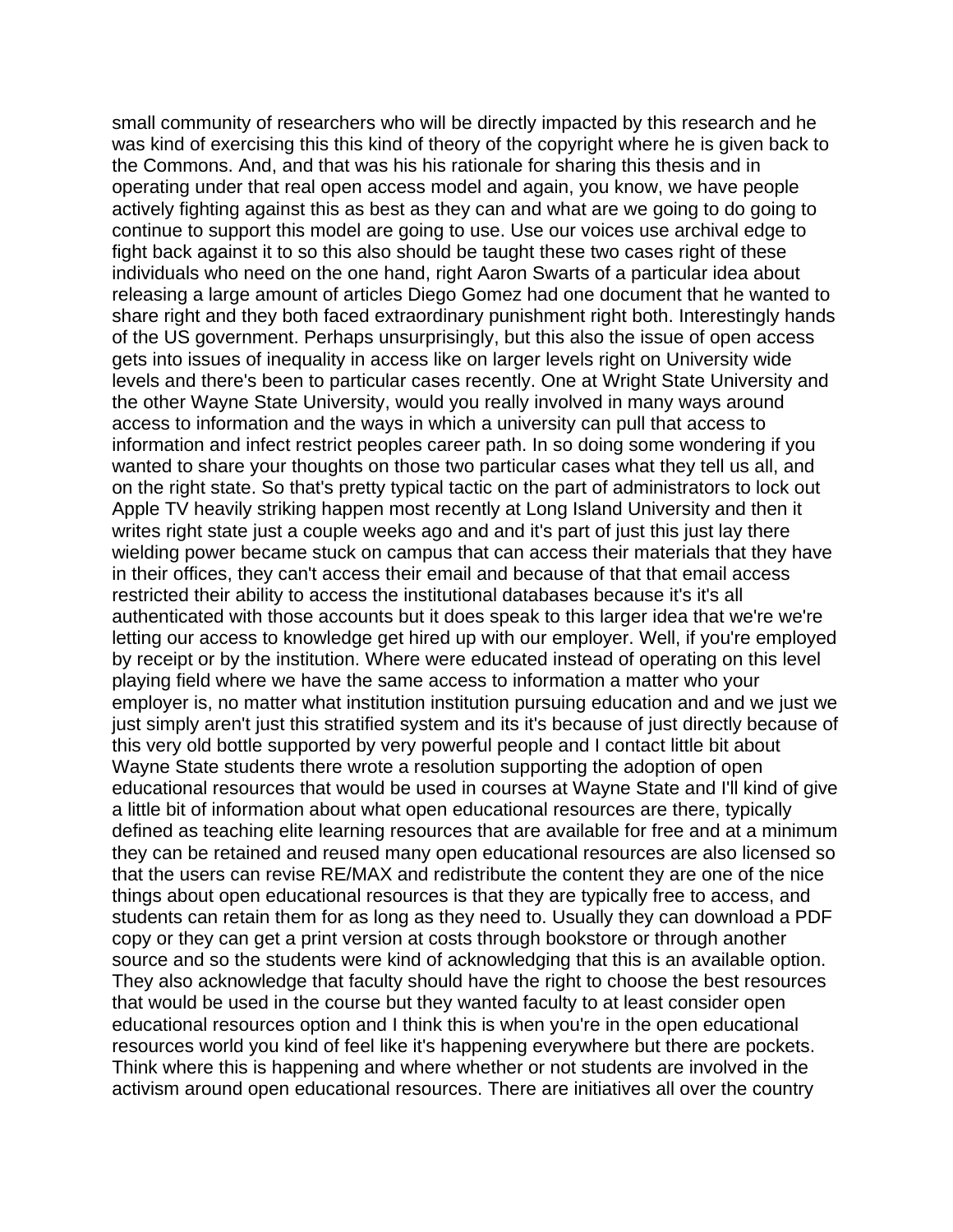small community of researchers who will be directly impacted by this research and he was kind of exercising this this kind of theory of the copyright where he is given back to the Commons. And, and that was his his rationale for sharing this thesis and in operating under that real open access model and again, you know, we have people actively fighting against this as best as they can and what are we going to do going to continue to support this model are going to use. Use our voices use archival edge to fight back against it to so this also should be taught these two cases right of these individuals who need on the one hand, right Aaron Swarts of a particular idea about releasing a large amount of articles Diego Gomez had one document that he wanted to share right and they both faced extraordinary punishment right both. Interestingly hands of the US government. Perhaps unsurprisingly, but this also the issue of open access gets into issues of inequality in access like on larger levels right on University wide levels and there's been to particular cases recently. One at Wright State University and the other Wayne State University, would you really involved in many ways around access to information and the ways in which a university can pull that access to information and infect restrict peoples career path. In so doing some wondering if you wanted to share your thoughts on those two particular cases what they tell us all, and on the right state. So that's pretty typical tactic on the part of administrators to lock out Apple TV heavily striking happen most recently at Long Island University and then it writes right state just a couple weeks ago and and it's part of just this just lay there wielding power became stuck on campus that can access their materials that they have in their offices, they can't access their email and because of that that email access restricted their ability to access the institutional databases because it's it's all authenticated with those accounts but it does speak to this larger idea that we're we're letting our access to knowledge get hired up with our employer. Well, if you're employed by receipt or by the institution. Where were educated instead of operating on this level playing field where we have the same access to information a matter who your employer is, no matter what institution institution pursuing education and and we just we just simply aren't just this stratified system and its it's because of just directly because of this very old bottle supported by very powerful people and I contact little bit about Wayne State students there wrote a resolution supporting the adoption of open educational resources that would be used in courses at Wayne State and I'll kind of give a little bit of information about what open educational resources are there, typically defined as teaching elite learning resources that are available for free and at a minimum they can be retained and reused many open educational resources are also licensed so that the users can revise RE/MAX and redistribute the content they are one of the nice things about open educational resources is that they are typically free to access, and students can retain them for as long as they need to. Usually they can download a PDF copy or they can get a print version at costs through bookstore or through another source and so the students were kind of acknowledging that this is an available option. They also acknowledge that faculty should have the right to choose the best resources that would be used in the course but they wanted faculty to at least consider open educational resources option and I think this is when you're in the open educational resources world you kind of feel like it's happening everywhere but there are pockets. Think where this is happening and where whether or not students are involved in the activism around open educational resources. There are initiatives all over the country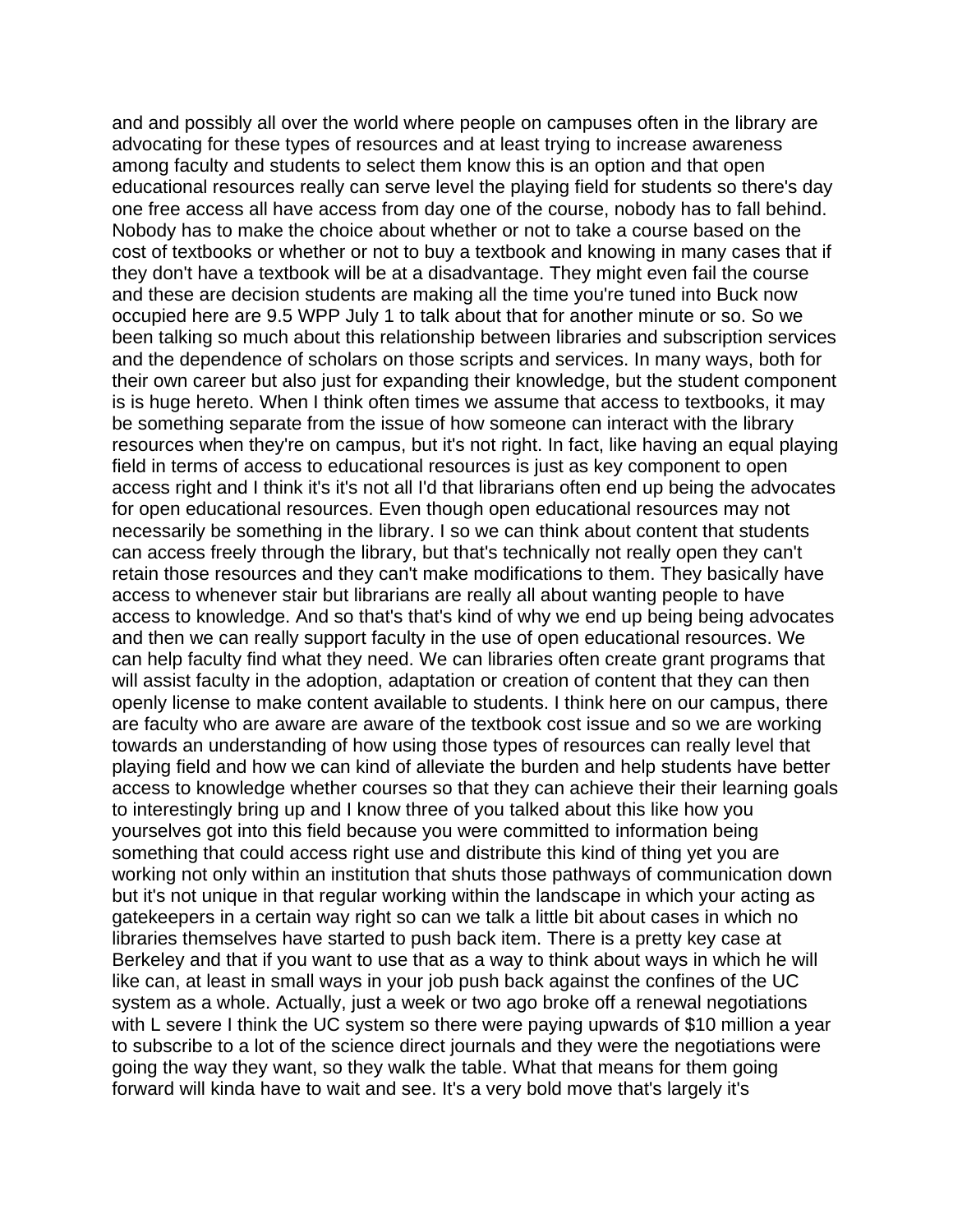and and possibly all over the world where people on campuses often in the library are advocating for these types of resources and at least trying to increase awareness among faculty and students to select them know this is an option and that open educational resources really can serve level the playing field for students so there's day one free access all have access from day one of the course, nobody has to fall behind. Nobody has to make the choice about whether or not to take a course based on the cost of textbooks or whether or not to buy a textbook and knowing in many cases that if they don't have a textbook will be at a disadvantage. They might even fail the course and these are decision students are making all the time you're tuned into Buck now occupied here are 9.5 WPP July 1 to talk about that for another minute or so. So we been talking so much about this relationship between libraries and subscription services and the dependence of scholars on those scripts and services. In many ways, both for their own career but also just for expanding their knowledge, but the student component is is huge hereto. When I think often times we assume that access to textbooks, it may be something separate from the issue of how someone can interact with the library resources when they're on campus, but it's not right. In fact, like having an equal playing field in terms of access to educational resources is just as key component to open access right and I think it's it's not all I'd that librarians often end up being the advocates for open educational resources. Even though open educational resources may not necessarily be something in the library. I so we can think about content that students can access freely through the library, but that's technically not really open they can't retain those resources and they can't make modifications to them. They basically have access to whenever stair but librarians are really all about wanting people to have access to knowledge. And so that's that's kind of why we end up being being advocates and then we can really support faculty in the use of open educational resources. We can help faculty find what they need. We can libraries often create grant programs that will assist faculty in the adoption, adaptation or creation of content that they can then openly license to make content available to students. I think here on our campus, there are faculty who are aware are aware of the textbook cost issue and so we are working towards an understanding of how using those types of resources can really level that playing field and how we can kind of alleviate the burden and help students have better access to knowledge whether courses so that they can achieve their their learning goals to interestingly bring up and I know three of you talked about this like how you yourselves got into this field because you were committed to information being something that could access right use and distribute this kind of thing yet you are working not only within an institution that shuts those pathways of communication down but it's not unique in that regular working within the landscape in which your acting as gatekeepers in a certain way right so can we talk a little bit about cases in which no libraries themselves have started to push back item. There is a pretty key case at Berkeley and that if you want to use that as a way to think about ways in which he will like can, at least in small ways in your job push back against the confines of the UC system as a whole. Actually, just a week or two ago broke off a renewal negotiations with L severe I think the UC system so there were paying upwards of \$10 million a year to subscribe to a lot of the science direct journals and they were the negotiations were going the way they want, so they walk the table. What that means for them going forward will kinda have to wait and see. It's a very bold move that's largely it's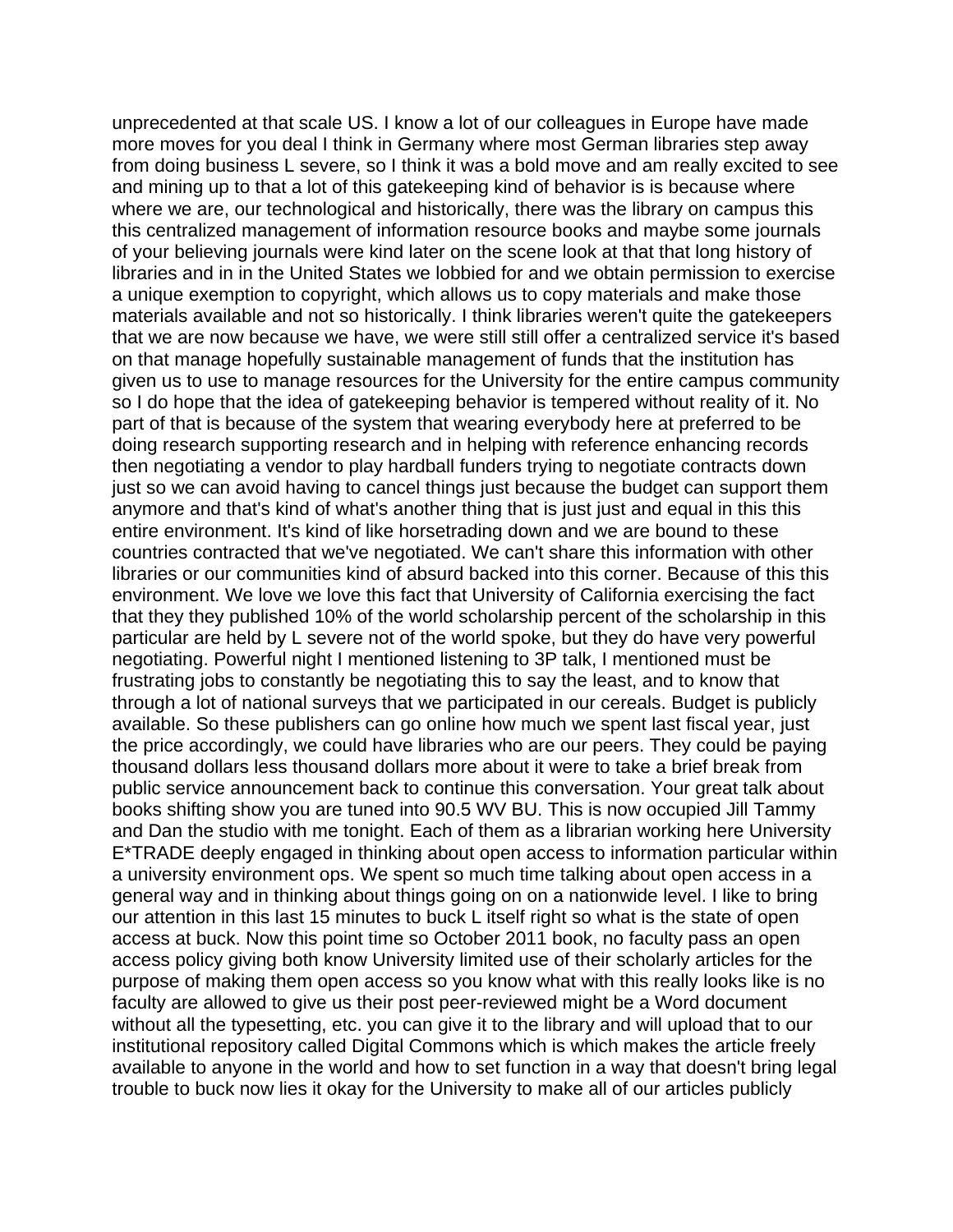unprecedented at that scale US. I know a lot of our colleagues in Europe have made more moves for you deal I think in Germany where most German libraries step away from doing business L severe, so I think it was a bold move and am really excited to see and mining up to that a lot of this gatekeeping kind of behavior is is because where where we are, our technological and historically, there was the library on campus this this centralized management of information resource books and maybe some journals of your believing journals were kind later on the scene look at that that long history of libraries and in in the United States we lobbied for and we obtain permission to exercise a unique exemption to copyright, which allows us to copy materials and make those materials available and not so historically. I think libraries weren't quite the gatekeepers that we are now because we have, we were still still offer a centralized service it's based on that manage hopefully sustainable management of funds that the institution has given us to use to manage resources for the University for the entire campus community so I do hope that the idea of gatekeeping behavior is tempered without reality of it. No part of that is because of the system that wearing everybody here at preferred to be doing research supporting research and in helping with reference enhancing records then negotiating a vendor to play hardball funders trying to negotiate contracts down just so we can avoid having to cancel things just because the budget can support them anymore and that's kind of what's another thing that is just just and equal in this this entire environment. It's kind of like horsetrading down and we are bound to these countries contracted that we've negotiated. We can't share this information with other libraries or our communities kind of absurd backed into this corner. Because of this this environment. We love we love this fact that University of California exercising the fact that they they published 10% of the world scholarship percent of the scholarship in this particular are held by L severe not of the world spoke, but they do have very powerful negotiating. Powerful night I mentioned listening to 3P talk, I mentioned must be frustrating jobs to constantly be negotiating this to say the least, and to know that through a lot of national surveys that we participated in our cereals. Budget is publicly available. So these publishers can go online how much we spent last fiscal year, just the price accordingly, we could have libraries who are our peers. They could be paying thousand dollars less thousand dollars more about it were to take a brief break from public service announcement back to continue this conversation. Your great talk about books shifting show you are tuned into 90.5 WV BU. This is now occupied Jill Tammy and Dan the studio with me tonight. Each of them as a librarian working here University E\*TRADE deeply engaged in thinking about open access to information particular within a university environment ops. We spent so much time talking about open access in a general way and in thinking about things going on on a nationwide level. I like to bring our attention in this last 15 minutes to buck L itself right so what is the state of open access at buck. Now this point time so October 2011 book, no faculty pass an open access policy giving both know University limited use of their scholarly articles for the purpose of making them open access so you know what with this really looks like is no faculty are allowed to give us their post peer-reviewed might be a Word document without all the typesetting, etc. you can give it to the library and will upload that to our institutional repository called Digital Commons which is which makes the article freely available to anyone in the world and how to set function in a way that doesn't bring legal trouble to buck now lies it okay for the University to make all of our articles publicly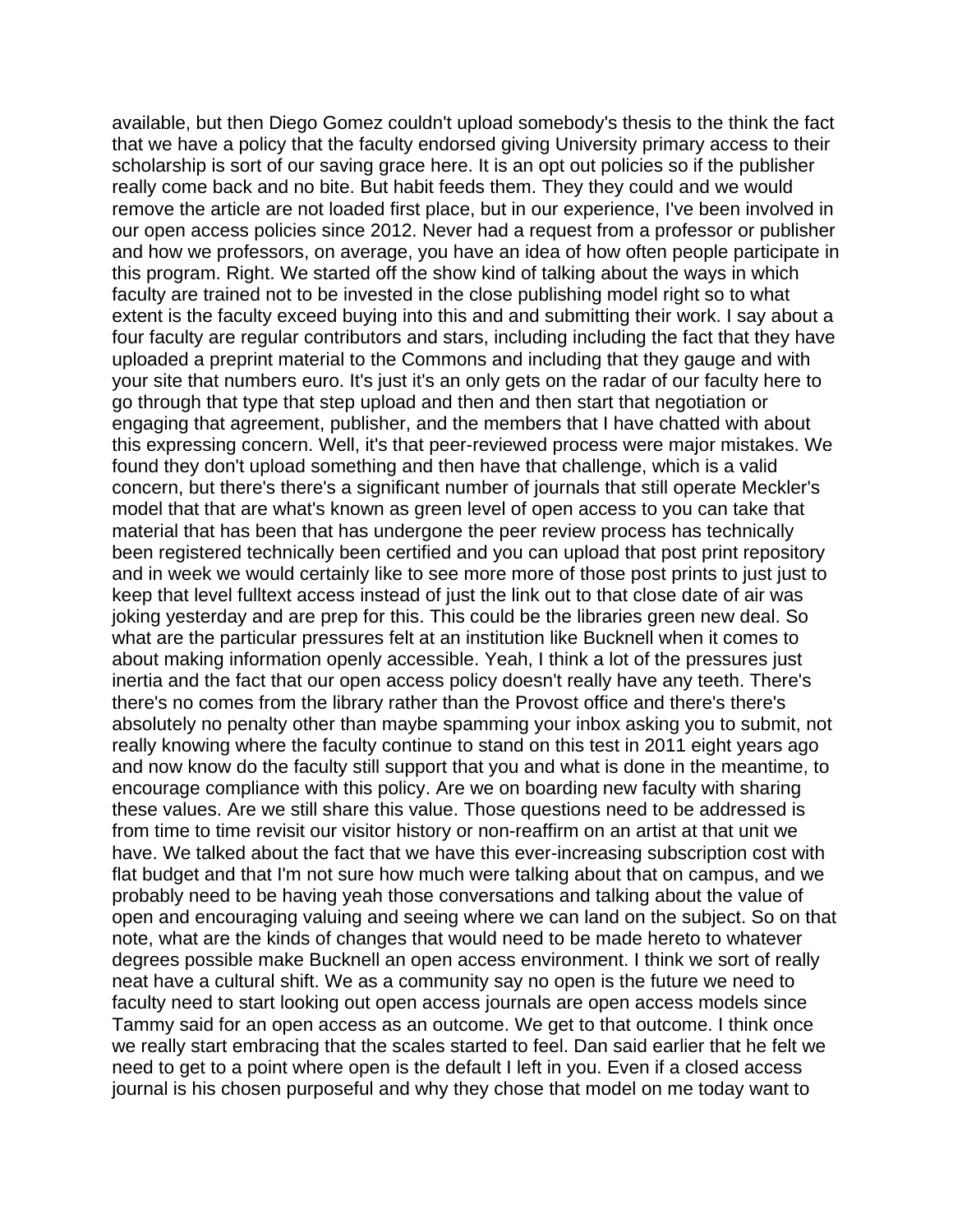available, but then Diego Gomez couldn't upload somebody's thesis to the think the fact that we have a policy that the faculty endorsed giving University primary access to their scholarship is sort of our saving grace here. It is an opt out policies so if the publisher really come back and no bite. But habit feeds them. They they could and we would remove the article are not loaded first place, but in our experience, I've been involved in our open access policies since 2012. Never had a request from a professor or publisher and how we professors, on average, you have an idea of how often people participate in this program. Right. We started off the show kind of talking about the ways in which faculty are trained not to be invested in the close publishing model right so to what extent is the faculty exceed buying into this and and submitting their work. I say about a four faculty are regular contributors and stars, including including the fact that they have uploaded a preprint material to the Commons and including that they gauge and with your site that numbers euro. It's just it's an only gets on the radar of our faculty here to go through that type that step upload and then and then start that negotiation or engaging that agreement, publisher, and the members that I have chatted with about this expressing concern. Well, it's that peer-reviewed process were major mistakes. We found they don't upload something and then have that challenge, which is a valid concern, but there's there's a significant number of journals that still operate Meckler's model that that are what's known as green level of open access to you can take that material that has been that has undergone the peer review process has technically been registered technically been certified and you can upload that post print repository and in week we would certainly like to see more more of those post prints to just just to keep that level fulltext access instead of just the link out to that close date of air was joking yesterday and are prep for this. This could be the libraries green new deal. So what are the particular pressures felt at an institution like Bucknell when it comes to about making information openly accessible. Yeah, I think a lot of the pressures just inertia and the fact that our open access policy doesn't really have any teeth. There's there's no comes from the library rather than the Provost office and there's there's absolutely no penalty other than maybe spamming your inbox asking you to submit, not really knowing where the faculty continue to stand on this test in 2011 eight years ago and now know do the faculty still support that you and what is done in the meantime, to encourage compliance with this policy. Are we on boarding new faculty with sharing these values. Are we still share this value. Those questions need to be addressed is from time to time revisit our visitor history or non-reaffirm on an artist at that unit we have. We talked about the fact that we have this ever-increasing subscription cost with flat budget and that I'm not sure how much were talking about that on campus, and we probably need to be having yeah those conversations and talking about the value of open and encouraging valuing and seeing where we can land on the subject. So on that note, what are the kinds of changes that would need to be made hereto to whatever degrees possible make Bucknell an open access environment. I think we sort of really neat have a cultural shift. We as a community say no open is the future we need to faculty need to start looking out open access journals are open access models since Tammy said for an open access as an outcome. We get to that outcome. I think once we really start embracing that the scales started to feel. Dan said earlier that he felt we need to get to a point where open is the default I left in you. Even if a closed access journal is his chosen purposeful and why they chose that model on me today want to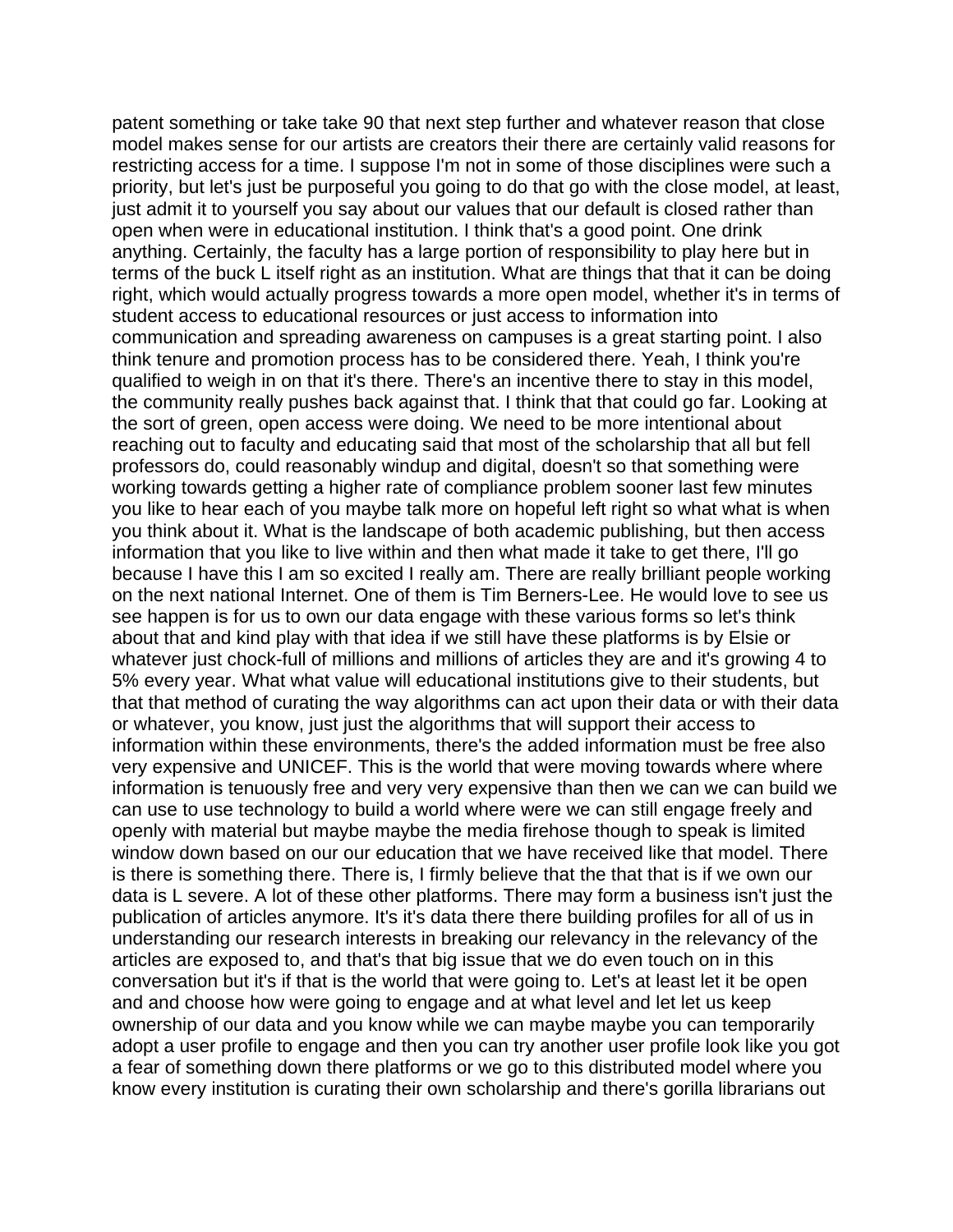patent something or take take 90 that next step further and whatever reason that close model makes sense for our artists are creators their there are certainly valid reasons for restricting access for a time. I suppose I'm not in some of those disciplines were such a priority, but let's just be purposeful you going to do that go with the close model, at least, just admit it to yourself you say about our values that our default is closed rather than open when were in educational institution. I think that's a good point. One drink anything. Certainly, the faculty has a large portion of responsibility to play here but in terms of the buck L itself right as an institution. What are things that that it can be doing right, which would actually progress towards a more open model, whether it's in terms of student access to educational resources or just access to information into communication and spreading awareness on campuses is a great starting point. I also think tenure and promotion process has to be considered there. Yeah, I think you're qualified to weigh in on that it's there. There's an incentive there to stay in this model, the community really pushes back against that. I think that that could go far. Looking at the sort of green, open access were doing. We need to be more intentional about reaching out to faculty and educating said that most of the scholarship that all but fell professors do, could reasonably windup and digital, doesn't so that something were working towards getting a higher rate of compliance problem sooner last few minutes you like to hear each of you maybe talk more on hopeful left right so what what is when you think about it. What is the landscape of both academic publishing, but then access information that you like to live within and then what made it take to get there, I'll go because I have this I am so excited I really am. There are really brilliant people working on the next national Internet. One of them is Tim Berners-Lee. He would love to see us see happen is for us to own our data engage with these various forms so let's think about that and kind play with that idea if we still have these platforms is by Elsie or whatever just chock-full of millions and millions of articles they are and it's growing 4 to 5% every year. What what value will educational institutions give to their students, but that that method of curating the way algorithms can act upon their data or with their data or whatever, you know, just just the algorithms that will support their access to information within these environments, there's the added information must be free also very expensive and UNICEF. This is the world that were moving towards where where information is tenuously free and very very expensive than then we can we can build we can use to use technology to build a world where were we can still engage freely and openly with material but maybe maybe the media firehose though to speak is limited window down based on our our education that we have received like that model. There is there is something there. There is, I firmly believe that the that that is if we own our data is L severe. A lot of these other platforms. There may form a business isn't just the publication of articles anymore. It's it's data there there building profiles for all of us in understanding our research interests in breaking our relevancy in the relevancy of the articles are exposed to, and that's that big issue that we do even touch on in this conversation but it's if that is the world that were going to. Let's at least let it be open and and choose how were going to engage and at what level and let let us keep ownership of our data and you know while we can maybe maybe you can temporarily adopt a user profile to engage and then you can try another user profile look like you got a fear of something down there platforms or we go to this distributed model where you know every institution is curating their own scholarship and there's gorilla librarians out